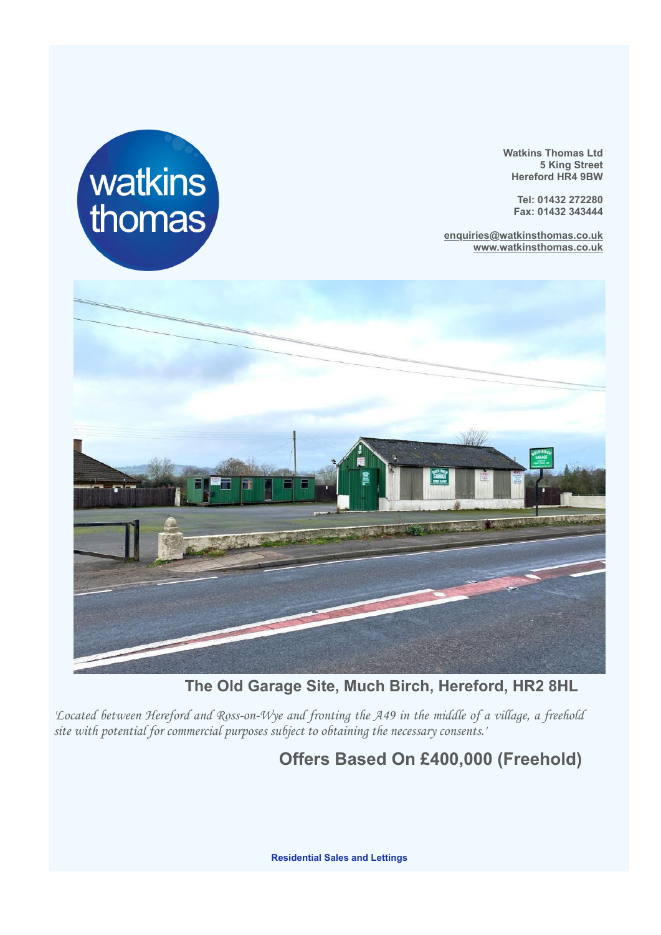

**Watkins Thomas Ltd 5 King Street Hereford HR4 9BW**

**Tel: 01432 272280 Fax: 01432 343444**

**enquiries@watkinsthomas.co.uk www.watkinsthomas.co.uk**



**The Old Garage Site, Much Birch, Hereford, HR2 8HL**

*'Located between Hereford and Ross-on-Wye and fronting the A49 in the middle of a village, a freehold site with potential for commercial purposes subject to obtaining the necessary consents.'*

# **Offers Based On £400,000 (Freehold)**